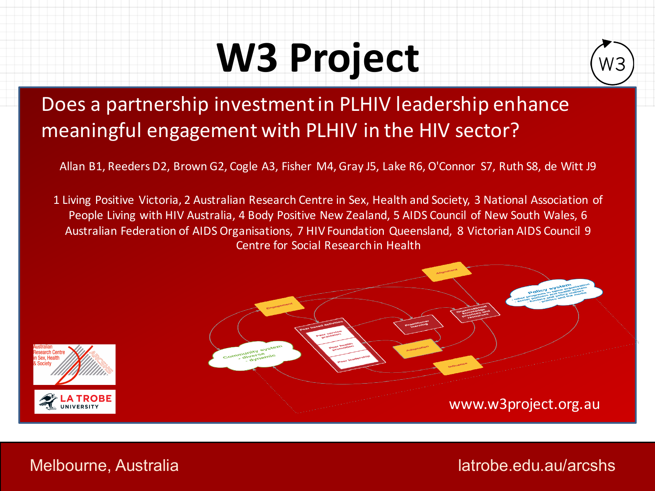## **W3 Project**



#### Does a partnership investment in PLHIV leadership enhance meaningful engagement with PLHIV in the HIV sector?

Allan B1, Reeders D2, Brown G2, Cogle A3, Fisher M4, Gray J5, Lake R6, O'Connor S7, Ruth S8, de Witt J9

1 Living Positive Victoria, 2 Australian Research Centre in Sex, Health and Society, 3 National Association of People Living with HIV Australia, 4 Body Positive New Zealand, 5 AIDS Council of New South Wales, 6 Australian Federation of AIDS Organisations, 7 HIV Foundation Queensland, 8 Victorian AIDS Council 9 Centre for Social Research in Health



Melbourne, Australia latrobe.edu.au/arcshs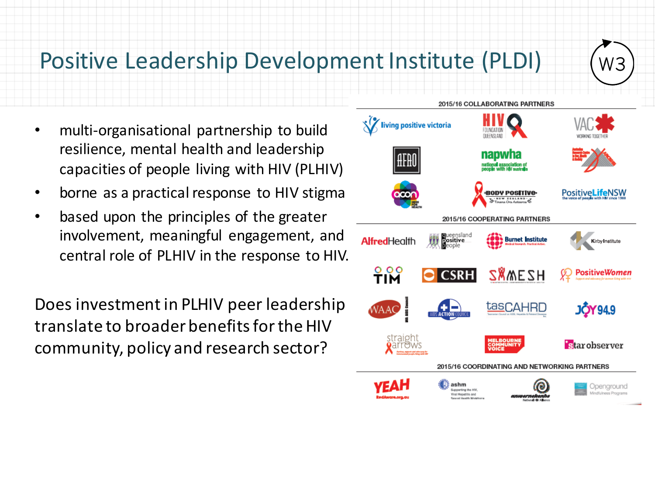### Positive Leadership Development Institute (PLDI)

- multi-organisational partnership to build resilience, mental health and leadership capacities of people living with HIV (PLHIV)
- borne as a practical response to HIV stigma
- based upon the principles of the greater involvement, meaningful engagement, and central role of PLHIV in the response to HIV.

Does investment in PLHIV peer leadership translate to broader benefits for the HIV community, policy and research sector?



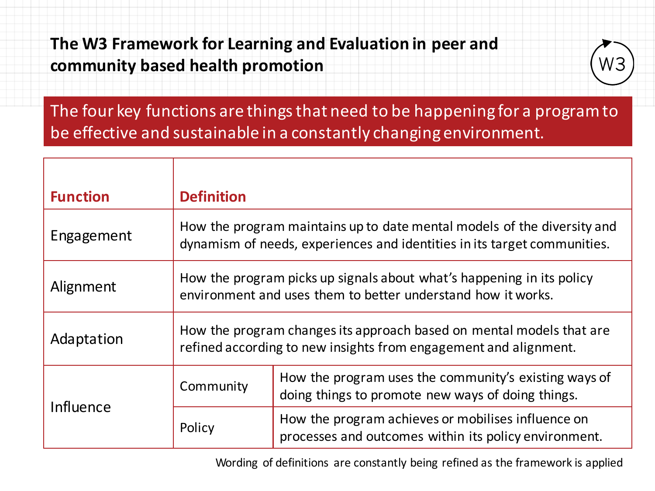The W3 Framework for Learning and Evaluation in peer and **community based health promotion**



The four key functions are things that need to be happening for a program to be effective and sustainable in a constantly changing environment.

| <b>Function</b> | <b>Definition</b>                                                                                                                     |                                                                                                                                                     |  |  |
|-----------------|---------------------------------------------------------------------------------------------------------------------------------------|-----------------------------------------------------------------------------------------------------------------------------------------------------|--|--|
| Engagement      |                                                                                                                                       | How the program maintains up to date mental models of the diversity and<br>dynamism of needs, experiences and identities in its target communities. |  |  |
| Alignment       | How the program picks up signals about what's happening in its policy<br>environment and uses them to better understand how it works. |                                                                                                                                                     |  |  |
| Adaptation      |                                                                                                                                       | How the program changes its approach based on mental models that are<br>refined according to new insights from engagement and alignment.            |  |  |
| Influence       | Community                                                                                                                             | How the program uses the community's existing ways of<br>doing things to promote new ways of doing things.                                          |  |  |
|                 | Policy                                                                                                                                | How the program achieves or mobilises influence on<br>processes and outcomes within its policy environment.                                         |  |  |

Wording of definitions are constantly being refined as the framework is applied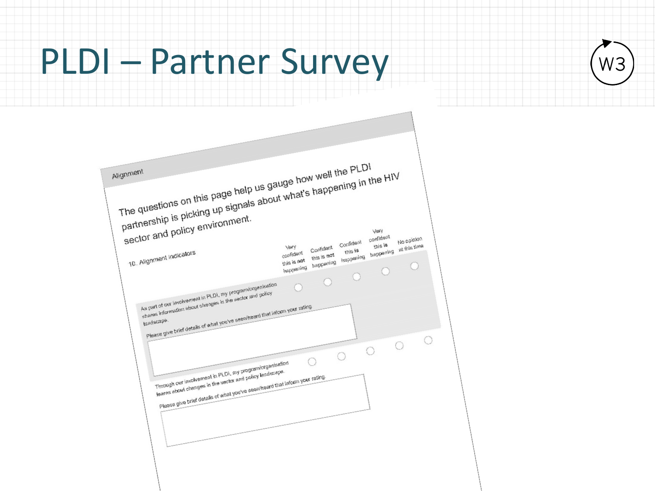## **PLDI - Partner Survey**

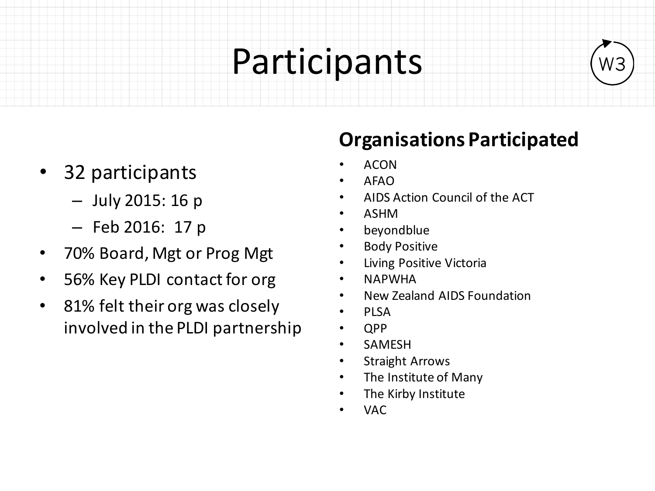### Participants



- 32 participants
	- $-$  July 2015: 16 p
	- $-$  Feb 2016: 17 p
- 70% Board, Mgt or Prog Mgt
- 56% Key PLDI contact for org
- 81% felt their org was closely involved in the PLDI partnership

#### **Organisations Participated**

- ACON
- AFAO
- AIDS Action Council of the ACT
- ASHM
- beyondblue
- **Body Positive**
- Living Positive Victoria
- NAPWHA
- New Zealand AIDS Foundation
- PLSA
- QPP
- SAMESH
- **Straight Arrows**
- The Institute of Many
- The Kirby Institute
- VAC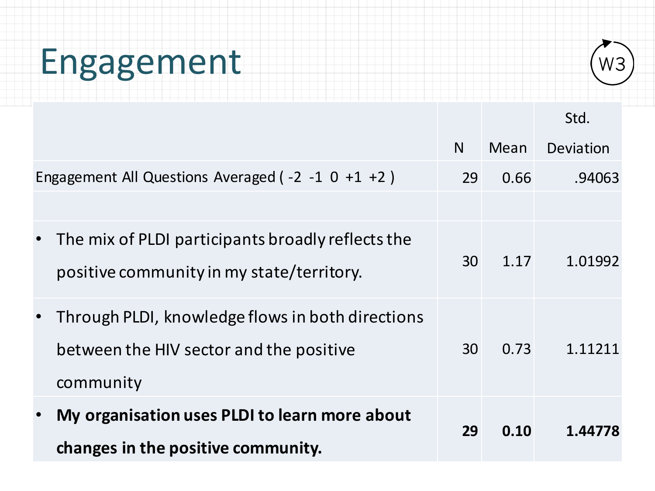# Engagement



Std. 

|                                                                                                                       | N  | Mean | Deviation |
|-----------------------------------------------------------------------------------------------------------------------|----|------|-----------|
| Engagement All Questions Averaged ( $-2$ $-1$ 0 $+1$ $+2$ )                                                           | 29 | 0.66 | .94063    |
|                                                                                                                       |    |      |           |
| The mix of PLDI participants broadly reflects the<br>$\bullet$<br>positive community in my state/territory.           | 30 | 1.17 | 1.01992   |
| Through PLDI, knowledge flows in both directions<br>$\bullet$<br>between the HIV sector and the positive<br>community | 30 | 0.73 | 1.11211   |
| My organisation uses PLDI to learn more about<br>$\bullet$<br>changes in the positive community.                      | 29 | 0.10 | 1.44778   |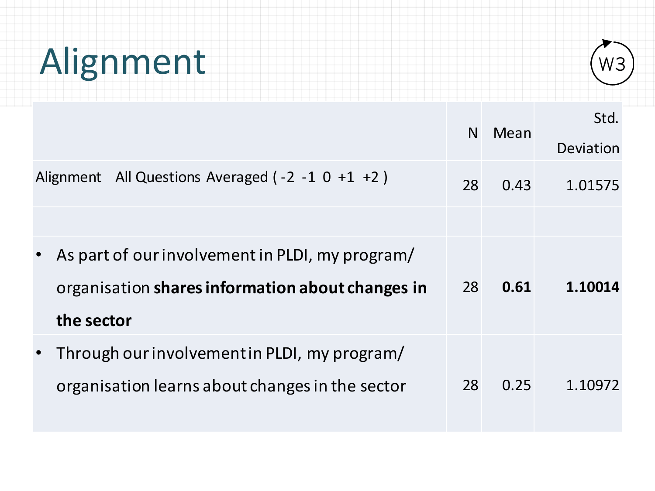# Alignment



|                                                                                                                   | N. | Mean | Std.<br>Deviation |
|-------------------------------------------------------------------------------------------------------------------|----|------|-------------------|
| Alignment All Questions Averaged $(-2 -1 0 +1 +2)$                                                                | 28 | 0.43 | 1.01575           |
|                                                                                                                   |    |      |                   |
| As part of our involvement in PLDI, my program/<br>organisation shares information about changes in<br>the sector | 28 | 0.61 | 1.10014           |
| Through our involvement in PLDI, my program/<br>organisation learns about changes in the sector                   | 28 | 0.25 | 1.10972           |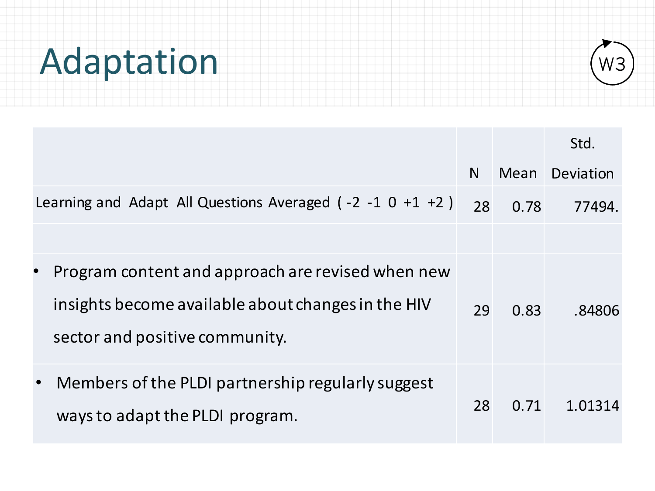# Adaptation



|                                                                                                                                                        |    |      | Std.      |
|--------------------------------------------------------------------------------------------------------------------------------------------------------|----|------|-----------|
|                                                                                                                                                        | N  | Mean | Deviation |
| Learning and Adapt All Questions Averaged $(-2 -1 0 +1 +2)$                                                                                            | 28 | 0.78 | 77494.    |
| Program content and approach are revised when new<br>$\bullet$<br>insights become available about changes in the HIV<br>sector and positive community. | 29 | 0.83 | .84806    |
| Members of the PLDI partnership regularly suggest<br>$\bullet$<br>ways to adapt the PLDI program.                                                      | 28 | 0.71 | 1.01314   |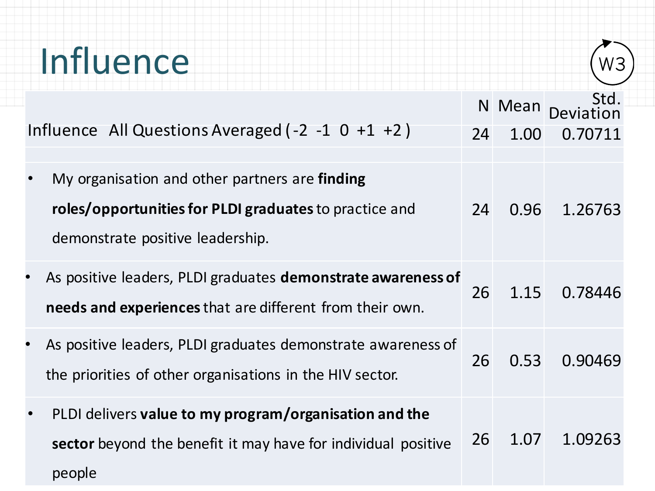| Influence                                                                                                                                      |    |                |                 |
|------------------------------------------------------------------------------------------------------------------------------------------------|----|----------------|-----------------|
| Influence All Questions Averaged (-2 -1 0 +1 +2)                                                                                               | 24 | N Mean<br>1.00 | Std.<br>0.70711 |
| My organisation and other partners are finding<br>roles/opportunities for PLDI graduates to practice and<br>demonstrate positive leadership.   | 24 | 0.96           | 1.26763         |
| As positive leaders, PLDI graduates demonstrate awareness of<br>needs and experiences that are different from their own.                       | 26 | 1.15           | 0.78446         |
| As positive leaders, PLDI graduates demonstrate awareness of<br>the priorities of other organisations in the HIV sector.                       | 26 | 0.53           | 0.90469         |
| PLDI delivers value to my program/organisation and the<br>$\bullet$<br>sector beyond the benefit it may have for individual positive<br>people | 26 | 1.07           | 1.09263         |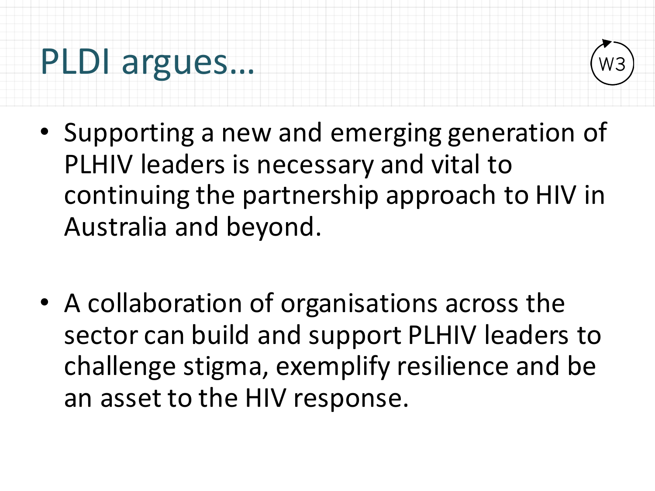### PLDI argues...



- Supporting a new and emerging generation of PLHIV leaders is necessary and vital to continuing the partnership approach to HIV in Australia and beyond.
- A collaboration of organisations across the sector can build and support PLHIV leaders to challenge stigma, exemplify resilience and be an asset to the HIV response.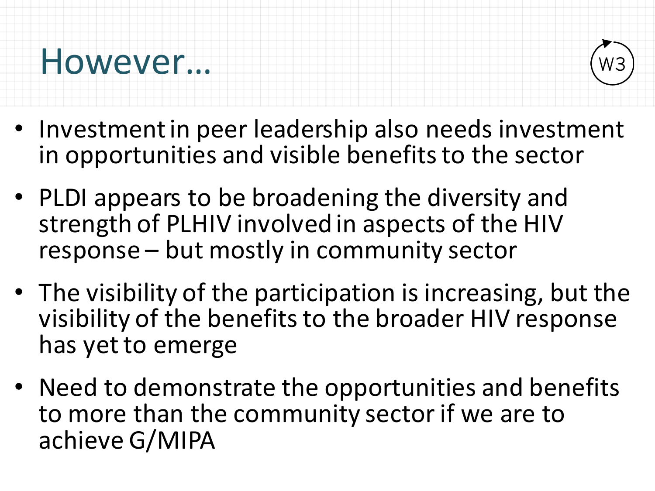### However…



- Investment in peer leadership also needs investment in opportunities and visible benefits to the sector
- PLDI appears to be broadening the diversity and strength of PLHIV involved in aspects of the HIV response – but mostly in community sector
- The visibility of the participation is increasing, but the visibility of the benefits to the broader HIV response has yet to emerge
- Need to demonstrate the opportunities and benefits to more than the community sector if we are to achieve G/MIPA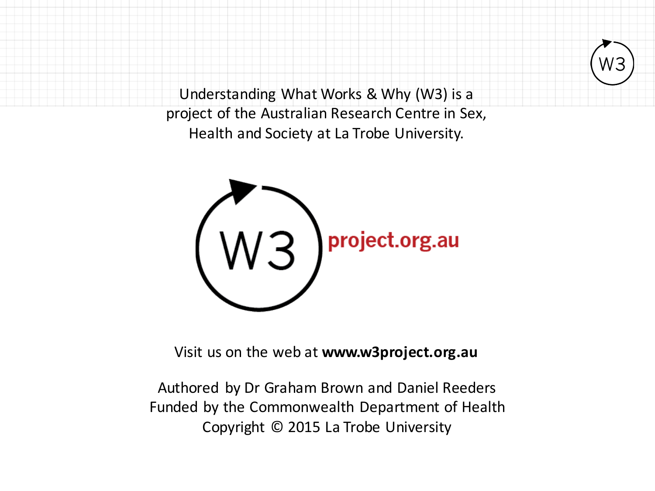Understanding What Works & Why (W3) is a project of the Australian Research Centre in Sex, Health and Society at La Trobe University.



Visit us on the web at **www.w3project.org.au** 

Authored by Dr Graham Brown and Daniel Reeders Funded by the Commonwealth Department of Health Copyright © 2015 La Trobe University